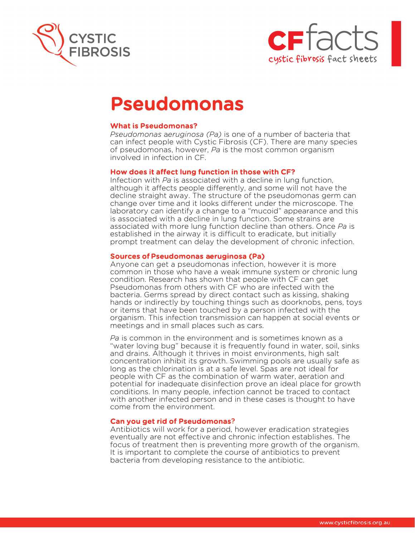



# Pseudomonas

## What is Pseudomonas?

*Pseudomonas* a*eruginosa (Pa)* is one of a number of bacteria that can infect people with Cystic Fibrosis (CF). There are many species of pseudomonas, however, *Pa* is the most common organism involved in infection in CF.

## How does it affect lung function in those with CF?

Infection with *Pa* is associated with a decline in lung function, although it affects people differently, and some will not have the decline straight away. The structure of the pseudomonas germ can change over time and it looks different under the microscope. The laboratory can identify a change to a "mucoid" appearance and this is associated with a decline in lung function. Some strains are associated with more lung function decline than others. Once *Pa* is established in the airway it is difficult to eradicate, but initially prompt treatment can delay the development of chronic infection.

## Sources of Pseudomonas aeruginosa (Pa)

Anyone can get a pseudomonas infection, however it is more common in those who have a weak immune system or chronic lung condition. Research has shown that people with CF can get Pseudomonas from others with CF who are infected with the bacteria. Germs spread by direct contact such as kissing, shaking hands or indirectly by touching things such as doorknobs, pens, toys or items that have been touched by a person infected with the organism. This infection transmission can happen at social events or meetings and in small places such as cars.

*Pa* is common in the environment and is sometimes known as a "water loving bug" because it is frequently found in water, soil, sinks and drains. Although it thrives in moist environments, high salt concentration inhibit its growth. Swimming pools are usually safe as long as the chlorination is at a safe level. Spas are not ideal for people with CF as the combination of warm water, aeration and potential for inadequate disinfection prove an ideal place for growth conditions. In many people, infection cannot be traced to contact with another infected person and in these cases is thought to have come from the environment.

#### Can you get rid of Pseudomonas?

Antibiotics will work for a period, however eradication strategies eventually are not effective and chronic infection establishes. The focus of treatment then is preventing more growth of the organism. It is important to complete the course of antibiotics to prevent bacteria from developing resistance to the antibiotic.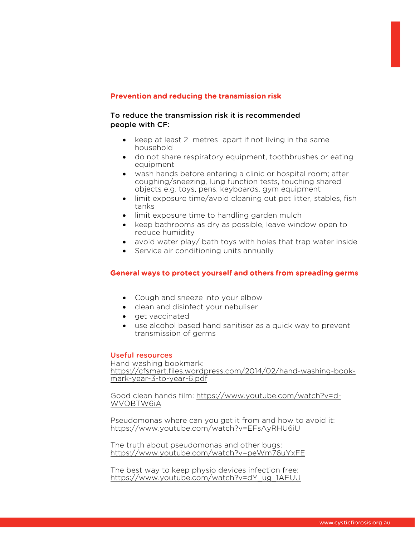## Prevention and reducing the transmission risk

## To reduce the transmission risk it is recommended people with CF:

- keep at least 2 metres apart if not living in the same household
- do not share respiratory equipment, toothbrushes or eating equipment
- wash hands before entering a clinic or hospital room; after coughing/sneezing, lung function tests, touching shared objects e.g. toys, pens, keyboards, gym equipment
- limit exposure time/avoid cleaning out pet litter, stables, fish tanks
- limit exposure time to handling garden mulch
- keep bathrooms as dry as possible, leave window open to reduce humidity
- avoid water play/ bath toys with holes that trap water inside
- Service air conditioning units annually

## General ways to protect yourself and others from spreading germs

- Cough and sneeze into your elbow
- clean and disinfect your nebuliser
- get vaccinated
- use alcohol based hand sanitiser as a quick way to prevent transmission of germs

## Useful resources

Hand washing bookmark: https://cfsmart.files.wordpress.com/2014/02/hand-washing-bookmark-year-3-to-year-6.pdf

Good clean hands film: https://www.youtube.com/watch?v=d-WVOBTW6iA

Pseudomonas where can you get it from and how to avoid it: https://www.youtube.com/watch?v=EFsAyRHU6iU

The truth about pseudomonas and other bugs: https://www.youtube.com/watch?v=peWm76uYxFE

The best way to keep physio devices infection free: https://www.youtube.com/watch?v=dY\_ug\_1AEUU